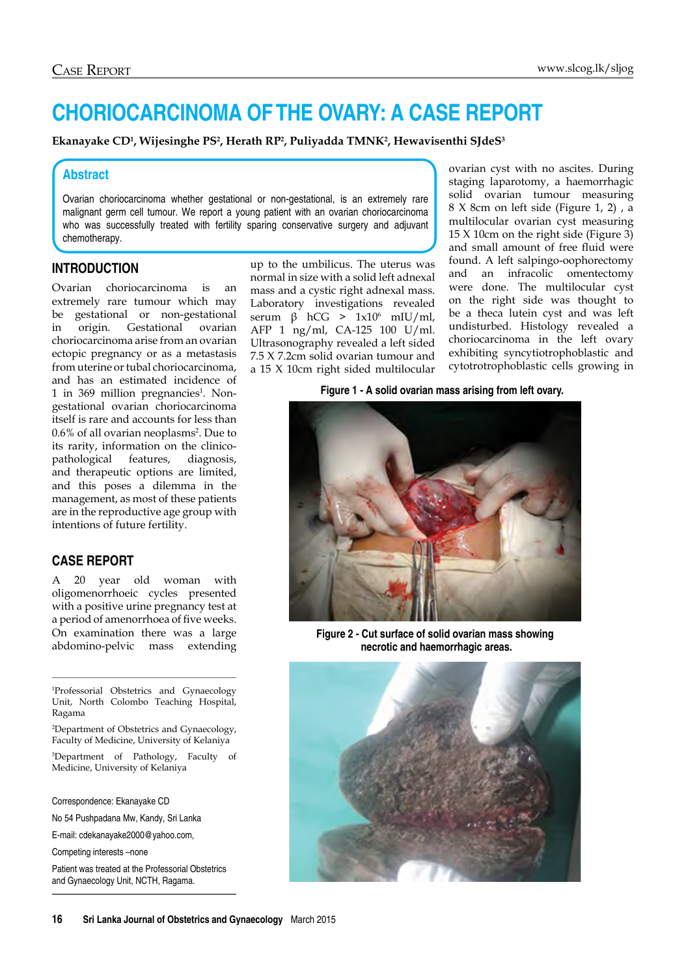# **CHORIOCARCINOMA OF THE OVARY: A CASE REPORT**

Ekanayake CD<sup>1</sup>, Wijesinghe PS<sup>2</sup>, Herath RP<sup>2</sup>, Puliyadda TMNK<sup>2</sup>, Hewavisenthi SJdeS<sup>3</sup>

#### **Abstract**

Ovarian choriocarcinoma whether gestational or non-gestational, is an extremely rare malignant germ cell tumour. We report a young patient with an ovarian choriocarcinoma who was successfully treated with fertility sparing conservative surgery and adjuvant chemotherapy.

#### **Introduction**

Ovarian choriocarcinoma is an extremely rare tumour which may be gestational or non-gestational in origin. Gestational ovarian choriocarcinoma arise from an ovarian ectopic pregnancy or as a metastasis from uterine or tubal choriocarcinoma, and has an estimated incidence of 1 in 369 million pregnancies<sup>1</sup>. Nongestational ovarian choriocarcinoma itself is rare and accounts for less than 0.6% of all ovarian neoplasms<sup>2</sup>. Due to its rarity, information on the clinicopathological features, diagnosis, and therapeutic options are limited, and this poses a dilemma in the management, as most of these patients are in the reproductive age group with intentions of future fertility.

# **Case report**

A 20 year old woman with oligomenorrhoeic cycles presented with a positive urine pregnancy test at a period of amenorrhoea of five weeks. On examination there was a large abdomino-pelvic mass extending

1 Professorial Obstetrics and Gynaecology Unit, North Colombo Teaching Hospital, Ragama

2 Department of Obstetrics and Gynaecology, Faculty of Medicine, University of Kelaniya

3 Department of Pathology, Faculty of Medicine, University of Kelaniya

Correspondence: Ekanayake CD

No 54 Pushpadana Mw, Kandy, Sri Lanka

E-mail: cdekanayake2000@yahoo.com,

Competing interests –none

Patient was treated at the Professorial Obstetrics and Gynaecology Unit, NCTH, Ragama.

up to the umbilicus. The uterus was normal in size with a solid left adnexal mass and a cystic right adnexal mass. Laboratory investigations revealed serum β hCG >  $1x10<sup>6</sup>$  mIU/ml, AFP 1 ng/ml, CA-125 100 U/ml. Ultrasonography revealed a left sided 7.5 X 7.2cm solid ovarian tumour and a 15 X 10cm right sided multilocular

ovarian cyst with no ascites. During staging laparotomy, a haemorrhagic solid ovarian tumour measuring 8 X 8cm on left side (Figure 1, 2) , a multilocular ovarian cyst measuring 15 X 10cm on the right side (Figure 3) and small amount of free fluid were found. A left salpingo-oophorectomy and an infracolic omentectomy were done. The multilocular cyst on the right side was thought to be a theca lutein cyst and was left undisturbed. Histology revealed a choriocarcinoma in the left ovary exhibiting syncytiotrophoblastic and cytotrotrophoblastic cells growing in

**Figure 1 - A solid ovarian mass arising from left ovary.** 



**Figure 2 - Cut surface of solid ovarian mass showing necrotic and haemorrhagic areas.**